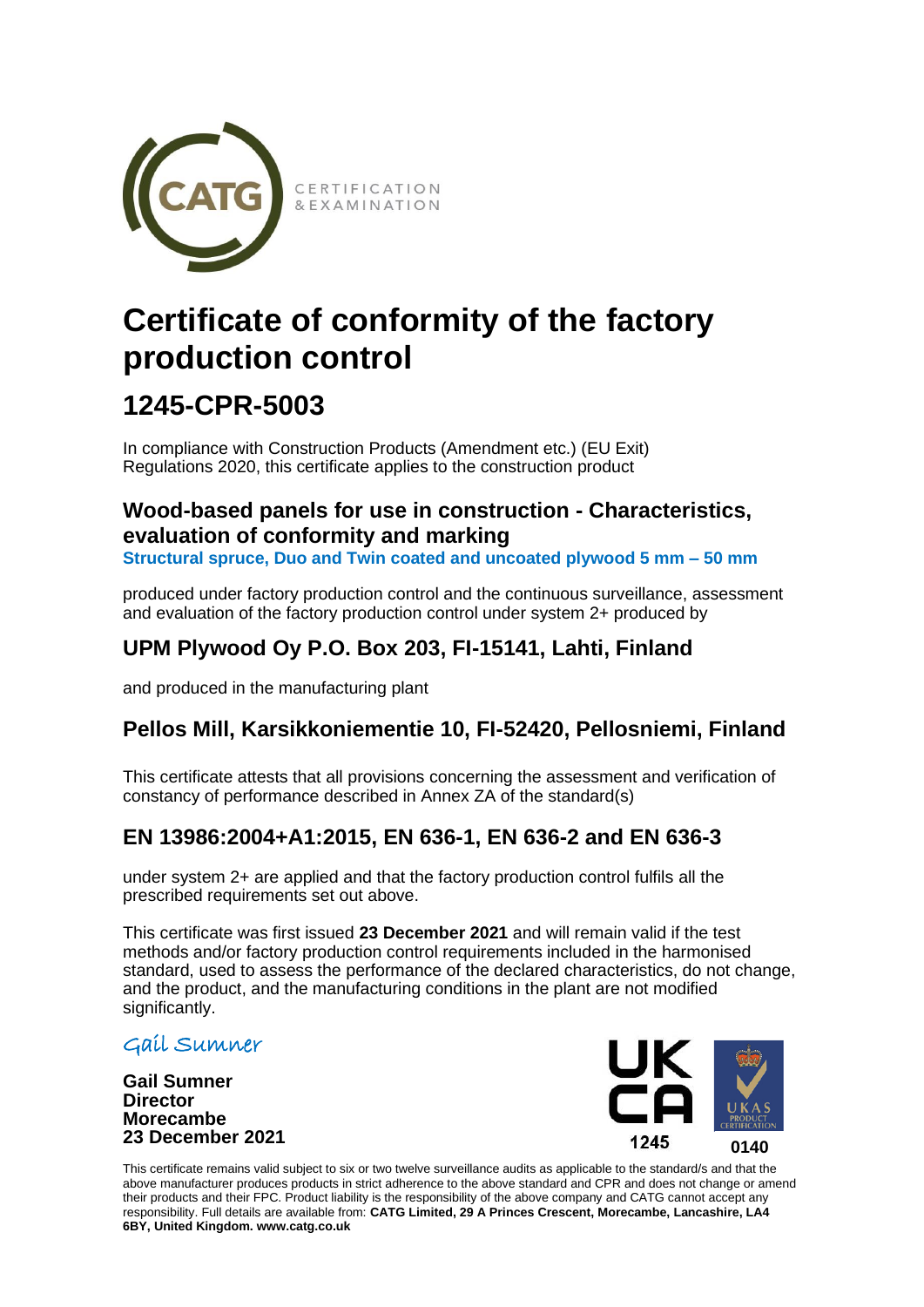

# **Certificate of conformity of the factory production control**

### **1245-CPR-5003**

In compliance with Construction Products (Amendment etc.) (EU Exit) Regulations 2020, this certificate applies to the construction product

### **Wood-based panels for use in construction - Characteristics, evaluation of conformity and marking**

**Structural spruce, Duo and Twin coated and uncoated plywood 5 mm – 50 mm**

produced under factory production control and the continuous surveillance, assessment and evaluation of the factory production control under system 2+ produced by

### **UPM Plywood Oy P.O. Box 203, FI-15141, Lahti, Finland**

and produced in the manufacturing plant

### **Pellos Mill, Karsikkoniementie 10, FI-52420, Pellosniemi, Finland**

This certificate attests that all provisions concerning the assessment and verification of constancy of performance described in Annex ZA of the standard(s)

### **EN 13986:2004+A1:2015, EN 636-1, EN 636-2 and EN 636-3**

under system 2+ are applied and that the factory production control fulfils all the prescribed requirements set out above.

This certificate was first issued **23 December 2021** and will remain valid if the test methods and/or factory production control requirements included in the harmonised standard, used to assess the performance of the declared characteristics, do not change, and the product, and the manufacturing conditions in the plant are not modified significantly.

#### Gail Sumner

**Gail Sumner Director Morecambe 23 December 2021**



This certificate remains valid subject to six or two twelve surveillance audits as applicable to the standard/s and that the above manufacturer produces products in strict adherence to the above standard and CPR and does not change or amend their products and their FPC. Product liability is the responsibility of the above company and CATG cannot accept any responsibility. Full details are available from: **CATG Limited, 29 A Princes Crescent, Morecambe, Lancashire, LA4 6BY, United Kingdom. www.catg.co.uk**